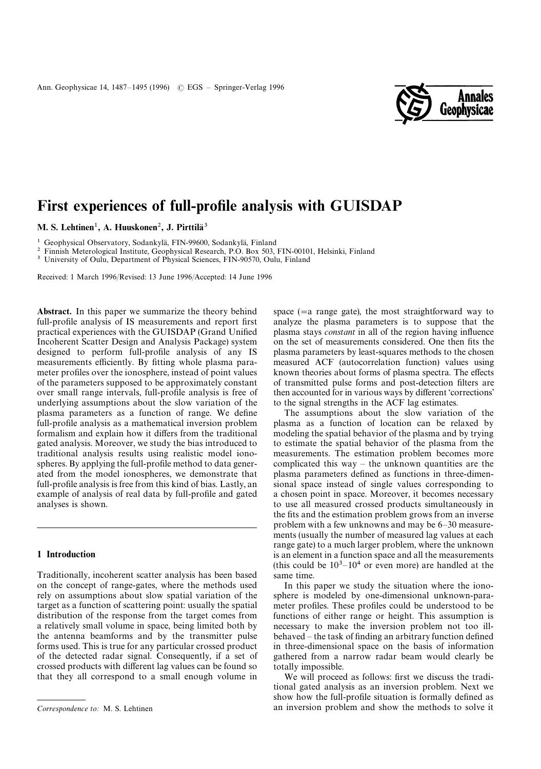

# First experiences of full-profile analysis with GUISDAP

M. S. Lehtinen<sup>1</sup>, A. Huuskonen<sup>2</sup>, J. Pirttilä<sup>3</sup>

<sup>1</sup> Geophysical Observatory, Sodankylä, FIN-99600, Sodankylä, Finland

2 Finnish Meterological Institute, Geophysical Research, P.O. Box 503, FIN-00101, Helsinki, Finland

<sup>3</sup> University of Oulu, Department of Physical Sciences, FIN-90570, Oulu, Finland

Received: 1 March 1996/Revised: 13 June 1996/Accepted: 14 June 1996

Abstract. In this paper we summarize the theory behind full-profile analysis of IS measurements and report first practical experiences with the GUISDAP (Grand Unified Incoherent Scatter Design and Analysis Package) system designed to perform full-profile analysis of any IS measurements efficiently. By fitting whole plasma parameter profiles over the ionosphere, instead of point values of the parameters supposed to be approximately constant over small range intervals, full-profile analysis is free of underlying assumptions about the slow variation of the plasma parameters as a function of range. We define full-profile analysis as a mathematical inversion problem formalism and explain how it differs from the traditional gated analysis. Moreover, we study the bias introduced to traditional analysis results using realistic model ionospheres. By applying the full-profile method to data generated from the model ionospheres, we demonstrate that full-profile analysis is free from this kind of bias. Lastly, an example of analysis of real data by full-profile and gated analyses is shown.

### 1 Introduction

Traditionally, incoherent scatter analysis has been based on the concept of range-gates, where the methods used rely on assumptions about slow spatial variation of the target as a function of scattering point: usually the spatial distribution of the response from the target comes from a relatively small volume in space, being limited both by the antenna beamforms and by the transmitter pulse forms used. This is true for any particular crossed product of the detected radar signal. Consequently, if a set of crossed products with different lag values can be found so that they all correspond to a small enough volume in

space  $(=a \text{ range gate})$ , the most straightforward way to analyze the plasma parameters is to suppose that the plasma stays *constant* in all of the region having influence on the set of measurements considered. One then fits the plasma parameters by least-squares methods to the chosen measured ACF (autocorrelation function) values using known theories about forms of plasma spectra. The effects of transmitted pulse forms and post-detection filters are then accounted for in various ways by different 'corrections' to the signal strengths in the ACF lag estimates.

The assumptions about the slow variation of the plasma as a function of location can be relaxed by modeling the spatial behavior of the plasma and by trying to estimate the spatial behavior of the plasma from the measurements. The estimation problem becomes more complicated this way *—* the unknown quantities are the plasma parameters defined as functions in three-dimensional space instead of single values corresponding to a chosen point in space. Moreover, it becomes necessary to use all measured crossed products simultaneously in the fits and the estimation problem grows from an inverse problem with a few unknowns and may be 6*—*30 measurements (usually the number of measured lag values at each range gate) to a much larger problem, where the unknown is an element in a function space and all the measurements (this could be 103*—*104 or even more) are handled at the same time.

In this paper we study the situation where the ionosphere is modeled by one-dimensional unknown-parameter profiles. These profiles could be understood to be functions of either range or height. This assumption is necessary to make the inversion problem not too illbehaved *—* the task of finding an arbitrary function defined in three-dimensional space on the basis of information gathered from a narrow radar beam would clearly be totally impossible.

We will proceed as follows: first we discuss the traditional gated analysis as an inversion problem. Next we show how the full-profile situation is formally defined as an inversion problem and show the methods to solve it

*Correspondence to:* M. S. Lehtinen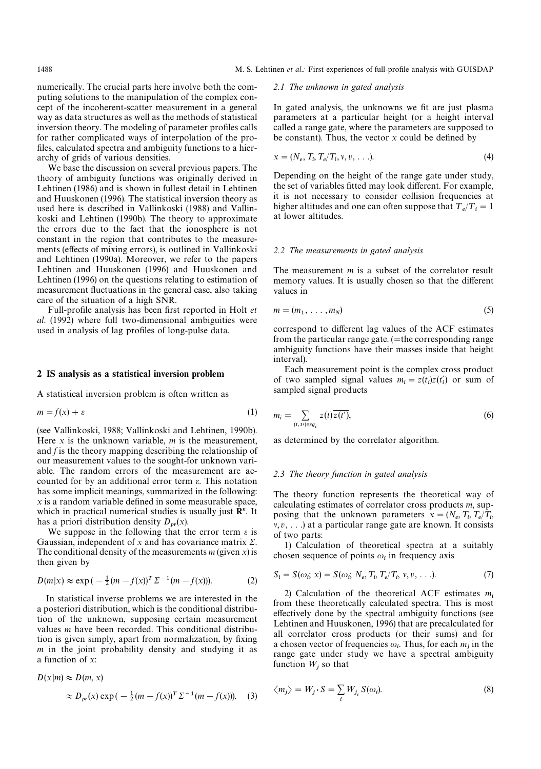numerically. The crucial parts here involve both the computing solutions to the manipulation of the complex concept of the incoherent-scatter measurement in a general way as data structures as well as the methods of statistical inversion theory. The modeling of parameter profiles calls for rather complicated ways of interpolation of the profiles, calculated spectra and ambiguity functions to a hierarchy of grids of various densities.

We base the discussion on several previous papers. The theory of ambiguity functions was originally derived in Lehtinen (1986) and is shown in fullest detail in Lehtinen and Huuskonen (1996). The statistical inversion theory as used here is described in Vallinkoski (1988) and Vallinkoski and Lehtinen (1990b). The theory to approximate the errors due to the fact that the ionosphere is not constant in the region that contributes to the measurements (effects of mixing errors), is outlined in Vallinkoski and Lehtinen (1990a). Moreover, we refer to the papers Lehtinen and Huuskonen (1996) and Huuskonen and Lehtinen (1996) on the questions relating to estimation of measurement fluctuations in the general case, also taking care of the situation of a high SNR.

Full-profile analysis has been first reported in Holt *et al*. (1992) where full two-dimensional ambiguities were used in analysis of lag profiles of long-pulse data.

#### 2 IS analysis as a statistical inversion problem

A statistical inversion problem is often written as

$$
m = f(x) + \varepsilon \tag{1}
$$

(see Vallinkoski, 1988; Vallinkoski and Lehtinen, 1990b). Here *x* is the unknown variable, *m* is the measurement, and *f* is the theory mapping describing the relationship of our measurement values to the sought-for unknown variable. The random errors of the measurement are accounted for by an additional error term  $\varepsilon$ . This notation has some implicit meanings, summarized in the following: *x* is a random variable defined in some measurable space, which in practical numerical studies is usually just **R**<sup>*n*</sup>. It has a priori distribution density  $D_{pr}(x)$ .

We suppose in the following that the error term  $\varepsilon$  is Gaussian, independent of x and has covariance matrix  $\Sigma$ . The conditional density of the measurements  $m$  (given  $x$ ) is then given by

$$
D(m|x) \approx \exp(-\frac{1}{2}(m - f(x))^{T} \Sigma^{-1}(m - f(x))).
$$
 (2)

In statistical inverse problems we are interested in the a posteriori distribution, which is the conditional distribution of the unknown, supposing certain measurement values *m* have been recorded. This conditional distribution is given simply, apart from normalization, by fixing *m* in the joint probability density and studying it as a function of *x*:

$$
D(x|m) \approx D(m, x)
$$
  
\n
$$
\approx D_{pr}(x) \exp(-\frac{1}{2}(m - f(x))^{T} \Sigma^{-1}(m - f(x))).
$$
 (3)

#### *2.1 The unknown in gated analysis*

In gated analysis, the unknowns we fit are just plasma parameters at a particular height (or a height interval called a range gate, where the parameters are supposed to be constant). Thus, the vector *x* could be defined by

$$
x = (N_e, T_i, T_e/T_i, v, v, \ldots). \tag{4}
$$

Depending on the height of the range gate under study, the set of variables fitted may look different. For example, it is not necessary to consider collision frequencies at higher altitudes and one can often suppose that  $T_e/T_i = 1$ at lower altitudes.

#### *2.2 The measurements in gated analysis*

The measurement *m* is a subset of the correlator result memory values. It is usually chosen so that the different values in

$$
m = (m_1, \ldots, m_N) \tag{5}
$$

correspond to different lag values of the ACF estimates from the particular range gate.  $($ =the corresponding range ambiguity functions have their masses inside that height interval).

Each measurement point is the complex cross product of two sampled signal values  $m_i = z(t_i) \overline{z(t'_i)}$  or sum of sampled signal products

$$
m_i = \sum_{(t,\,t') \in rg_i} z(t)\overline{z(t')},\tag{6}
$$

as determined by the correlator algorithm.

#### *2.3 The theory function in gated analysis*

The theory function represents the theoretical way of calculating estimates of correlator cross products *m*, supposing that the unknown parameters  $x = (N_e, T_i, T_e/T_i)$ *v*, *v*, . . .) at a particular range gate are known. It consists of two parts:

1) Calculation of theoretical spectra at a suitably chosen sequence of points  $\omega_i$  in frequency axis

$$
S_i = S(\omega_i; x) = S(\omega_i; N_e, T_i, T_e/T_i, v, v, ...).
$$
 (7)

2) Calculation of the theoretical ACF estimates *mi* from these theoretically calculated spectra. This is most effectively done by the spectral ambiguity functions (see Lehtinen and Huuskonen, 1996) that are precalculated for all correlator cross products (or their sums) and for a chosen vector of frequencies  $\omega_i$ . Thus, for each  $m_j$  in the range gate under study we have a spectral ambiguity function  $W_j$  so that

$$
\langle m_j \rangle = W_j \cdot S = \sum_i W_{j_i} S(\omega_i). \tag{8}
$$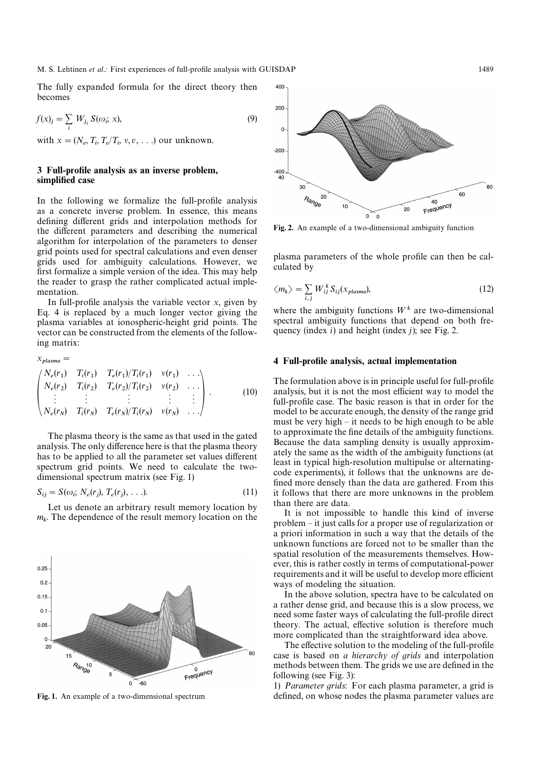The fully expanded formula for the direct theory then becomes

 $f(x)_j = \sum_i W_j$  $\int_i S(\omega_i)$ ; *x*), (9)

with  $x = (N_e, T_i, T_e/T_i, v, v, \ldots)$  our unknown.

## 3 Full-profile analysis as an inverse problem, simplified case

In the following we formalize the full-profile analysis as a concrete inverse problem. In essence, this means defining different grids and interpolation methods for the different parameters and describing the numerical algorithm for interpolation of the parameters to denser grid points used for spectral calculations and even denser grids used for ambiguity calculations. However, we first formalize a simple version of the idea. This may help the reader to grasp the rather complicated actual implementation.

In full-profile analysis the variable vector *x*, given by Eq. 4 is replaced by a much longer vector giving the plasma variables at ionospheric-height grid points. The vector can be constructed from the elements of the following matrix:

$$
x_{plasma} = \begin{pmatrix} N_e(r_1) & T_i(r_1) & T_e(r_1)/T_i(r_1) & v(r_1) & \dots \\ N_e(r_2) & T_i(r_2) & T_e(r_2)/T_i(r_2) & v(r_2) & \dots \\ \vdots & \vdots & \vdots & \vdots & \vdots \\ N_e(r_N) & T_i(r_N) & T_e(r_N)/T_i(r_N) & v(r_N) & \dots \end{pmatrix} .
$$
 (10)

The plasma theory is the same as that used in the gated analysis. The only difference here is that the plasma theory has to be applied to all the parameter set values different spectrum grid points. We need to calculate the twodimensional spectrum matrix (see Fig. 1)

$$
S_{ij} = S(\omega_i; N_e(r_j), T_e(r_j), \ldots). \tag{11}
$$

Let us denote an arbitrary result memory location by *mk*. The dependence of the result memory location on the



Fig. 1. An example of a two-dimensional spectrum



Fig. 2. An example of a two-dimensional ambiguity function

plasma parameters of the whole profile can then be calculated by

$$
\langle m_k \rangle = \sum_{i,j} W_{ij}^k S_{ij}(x_{plasma}), \qquad (12)
$$

where the ambiguity functions  $W^k$  are two-dimensional spectral ambiguity functions that depend on both frequency (index *i*) and height (index *j*); see Fig. 2.

#### 4 Full-profile analysis, actual implementation

The formulation above is in principle useful for full-profile analysis, but it is not the most efficient way to model the full-profile case. The basic reason is that in order for the model to be accurate enough, the density of the range grid must be very high *—* it needs to be high enough to be able to approximate the fine details of the ambiguity functions. Because the data sampling density is usually approximately the same as the width of the ambiguity functions (at least in typical high-resolution multipulse or alternatingcode experiments), it follows that the unknowns are defined more densely than the data are gathered. From this it follows that there are more unknowns in the problem than there are data.

It is not impossible to handle this kind of inverse problem *—* it just calls for a proper use of regularization or a priori information in such a way that the details of the unknown functions are forced not to be smaller than the spatial resolution of the measurements themselves. However, this is rather costly in terms of computational-power requirements and it will be useful to develop more efficient ways of modeling the situation.

In the above solution, spectra have to be calculated on a rather dense grid, and because this is a slow process, we need some faster ways of calculating the full-profile direct theory. The actual, effective solution is therefore much more complicated than the straightforward idea above.

The effective solution to the modeling of the full-profile case is based on *a hierarchy of grids* and interpolation methods between them. The grids we use are defined in the following (see Fig. 3):

1) *Parameter grids*: For each plasma parameter, a grid is defined, on whose nodes the plasma parameter values are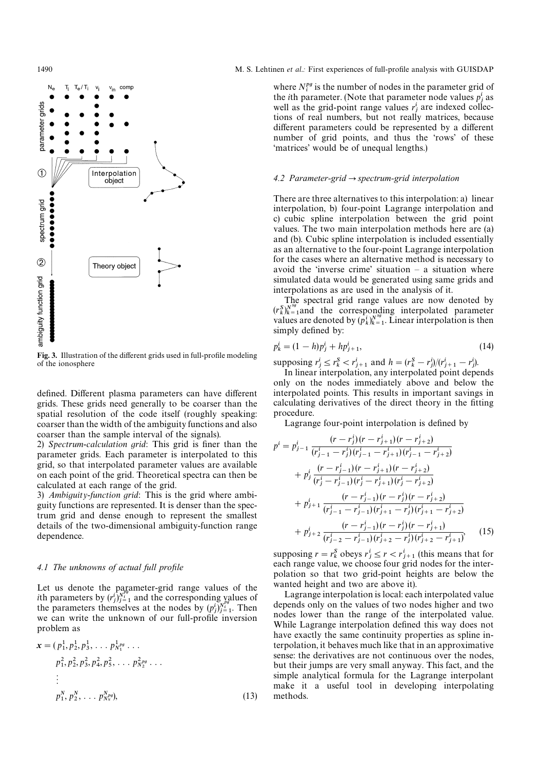

Fig. 3. Illustration of the different grids used in full-profile modeling of the ionosphere

defined. Different plasma parameters can have different grids. These grids need generally to be coarser than the spatial resolution of the code itself (roughly speaking: coarser than the width of the ambiguity functions and also coarser than the sample interval of the signals).

2) *Spectrum*-*calculation grid*: This grid is finer than the parameter grids. Each parameter is interpolated to this grid, so that interpolated parameter values are available on each point of the grid. Theoretical spectra can then be calculated at each range of the grid.

3) *Ambiguity*-*function grid*: This is the grid where ambiguity functions are represented. It is denser than the spectrum grid and dense enough to represent the smallest details of the two-dimensional ambiguity-function range dependence.

#### *4.1 The unknowns of actual full profile*

Let us denote the parameter-grid range values of the Let us denote the parameter-grid range values of the<br> *i*th parameters by  $(r_j^i)_{j=1}^{N_i^g}$  and the corresponding values of the parameters by  $(r_j)_{j=1}^{\infty}$  and the corresponding values of<br>the parameters themselves at the nodes by  $(p_j^i)_{j=1}^{N_i}$ . Then we can write the unknown of our full-profile inversion problem as

$$
\mathbf{x} = (p_1^1, p_2^1, p_3^1, \dots, p_{N_1^{pq}}^{1_{pq}} \dots
$$
  
\n
$$
p_1^2, p_2^2, p_3^2, p_4^2, p_5^2, \dots, p_{N_2^{pq}}^{2_{pq}} \dots
$$
  
\n
$$
\vdots
$$
  
\n
$$
p_1^N, p_2^N, \dots, p_{N_N^{pq}}^{N_{pq}}),
$$
\n(13)

#### 1490 M. S. Lehtinen *et al.*: First experiences of full-profile analysis with GUISDAP

where  $N_i^{pg}$  is the number of nodes in the parameter grid of where  $N_i^s$  is the number of nodes in the parameter grid of the *i*th parameter. (Note that parameter node values  $p_i^i$  as the *t*th parameter. (Note that parameter node values  $p_j$  as<br>well as the grid-point range values  $r_j$  are indexed collections of real numbers, but not really matrices, because different parameters could be represented by a different number of grid points, and thus the 'rows' of these 'matrices' would be of unequal lengths.)

#### *4.2 Parameter-grid*P*spectrum-grid interpolation*

There are three alternatives to this interpolation: a) linear interpolation, b) four-point Lagrange interpolation and c) cubic spline interpolation between the grid point values. The two main interpolation methods here are (a) and (b). Cubic spline interpolation is included essentially as an alternative to the four-point Lagrange interpolation for the cases where an alternative method is necessary to avoid the 'inverse crime' situation *—* a situation where simulated data would be generated using same grids and interpolations as are used in the analysis of it.

The spectral grid range values are now denoted by The spectral grid range values are now denoted by<br>  $(r_{k})_{k=1}^{N^{sg}}$  and the corresponding interpolated parameter  $(r_k^k)_{k=1}^k$  and the corresponding interpolated parameter<br>values are denoted by  $(p_k^i)_{k=1}^{N^{sg}}$ . Linear interpolation is then simply defined by:

$$
p_k^i = (1 - h)p_j^i + hp_{j+1}^i,
$$
\n(14)

supposing  $r^i_j \leq r^i_k < r^i_{j+1}$  and  $h = (r^S_k - r^i_j)/(r^i_{j+1} - r^i_j)$ .

In linear interpolation, any interpolated point depends only on the nodes immediately above and below the interpolated points. This results in important savings in calculating derivatives of the direct theory in the fitting procedure.

Lagrange four-point interpolation is defined by

$$
p^{i} = p_{j-1}^{i} \frac{(r - r_{j}^{i})(r - r_{j+1}^{i})(r - r_{j+2}^{i})}{(r_{j-1}^{i} - r_{j}^{i})(r_{j-1}^{i} - r_{j+1}^{i})(r_{j-1}^{i} - r_{j+2}^{i})}
$$
  
+ 
$$
p_{j}^{i} \frac{(r - r_{j-1}^{i})(r - r_{j+1}^{i})(r - r_{j+2}^{i})}{(r_{j}^{i} - r_{j-1}^{i})(r_{j}^{i} - r_{j+1}^{i})(r_{j}^{i} - r_{j+2}^{i})}
$$
  
+ 
$$
p_{j+1}^{i} \frac{(r - r_{j-1}^{i})(r - r_{j}^{i})(r - r_{j+2}^{i})}{(r_{j-1}^{i} - r_{j-1}^{i})(r_{j+1}^{i} - r_{j}^{i})(r_{j+1}^{i} - r_{j+2}^{i})}
$$
  
+ 
$$
p_{j+2}^{i} \frac{(r - r_{j-1}^{i})(r - r_{j}^{i})(r - r_{j+1}^{i})}{(r_{j-2}^{i} - r_{j-1}^{i})(r_{j+2}^{i} - r_{j}^{i})(r_{j+2}^{i} - r_{j+1}^{i})}
$$
(15)

supposing  $r = r_k^S$  obeys  $r_j^i \le r < r_{j+1}^i$  (this means that for each range value, we choose four grid nodes for the interpolation so that two grid-point heights are below the wanted height and two are above it).

Lagrange interpolation is local: each interpolated value depends only on the values of two nodes higher and two nodes lower than the range of the interpolated value. While Lagrange interpolation defined this way does not have exactly the same continuity properties as spline interpolation, it behaves much like that in an approximative sense: the derivatives are not continuous over the nodes, but their jumps are very small anyway. This fact, and the simple analytical formula for the Lagrange interpolant make it a useful tool in developing interpolating methods.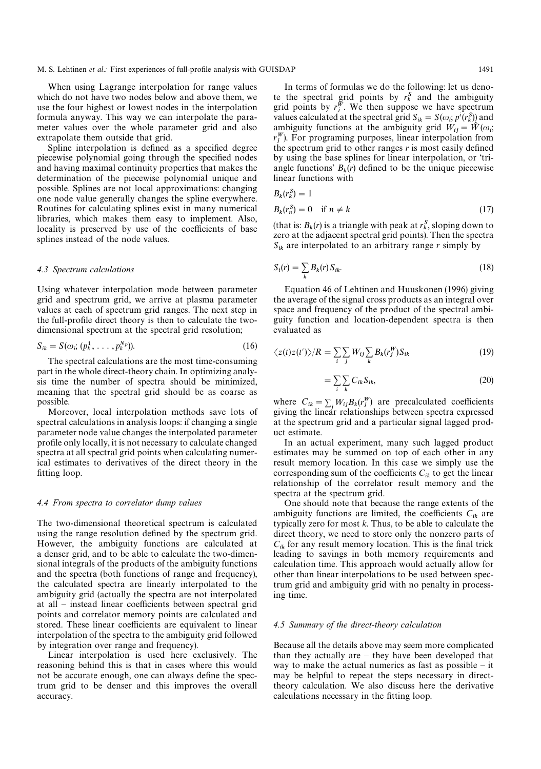When using Lagrange interpolation for range values which do not have two nodes below and above them, we use the four highest or lowest nodes in the interpolation formula anyway. This way we can interpolate the parameter values over the whole parameter grid and also extrapolate them outside that grid.

Spline interpolation is defined as a specified degree piecewise polynomial going through the specified nodes and having maximal continuity properties that makes the determination of the piecewise polynomial unique and possible. Splines are not local approximations: changing one node value generally changes the spline everywhere. Routines for calculating splines exist in many numerical libraries, which makes them easy to implement. Also, locality is preserved by use of the coefficients of base splines instead of the node values.

#### *4.3 Spectrum calculations*

Using whatever interpolation mode between parameter grid and spectrum grid, we arrive at plasma parameter values at each of spectrum grid ranges. The next step in the full-profile direct theory is then to calculate the two-

dimensional spectrum at the spectral grid resolution;  
\n
$$
S_{ik} = S(\omega_i; (p_k^1, \dots, p_k^{N_p})).
$$
\n(16)

The spectral calculations are the most time-consuming part in the whole direct-theory chain. In optimizing analysis time the number of spectra should be minimized, meaning that the spectral grid should be as coarse as possible.

Moreover, local interpolation methods save lots of spectral calculations in analysis loops: if changing a single parameter node value changes the interpolated parameter profile only locally, it is not necessary to calculate changed spectra at all spectral grid points when calculating numerical estimates to derivatives of the direct theory in the fitting loop.

#### *4.4 From spectra to correlator dump values*

The two-dimensional theoretical spectrum is calculated using the range resolution defined by the spectrum grid. However, the ambiguity functions are calculated at a denser grid, and to be able to calculate the two-dimensional integrals of the products of the ambiguity functions and the spectra (both functions of range and frequency), the calculated spectra are linearly interpolated to the ambiguity grid (actually the spectra are not interpolated at all *—* instead linear coefficients between spectral grid points and correlator memory points are calculated and stored. These linear coefficients are equivalent to linear interpolation of the spectra to the ambiguity grid followed by integration over range and frequency).

Linear interpolation is used here exclusively. The reasoning behind this is that in cases where this would not be accurate enough, one can always define the spectrum grid to be denser and this improves the overall accuracy.

In terms of formulas we do the following: let us deno-In terms of formulas we do the following: let us denote the spectral grid points by  $r_j^{\mathcal{R}}$ , we then suppose we have spectrum grid points by  $r_j^{\mathcal{W}}$ . We then suppose we have spectrum grid points by  $r_j$ . We then suppose we have spectrum<br>values calculated at the spectral grid  $S_{ik} = S(\omega_i; p^i(r_k^S))$  and ambiguity functions at the ambiguity grid  $W_{ij} = \hat{W}(\omega_i;$ amoigury functions at the amoigury grid  $W_{ij} = W(\omega_i; r_j^W)$ . For programing purposes, linear interpolation from the spectrum grid to other ranges *r* is most easily defined by using the base splines for linear interpolation, or 'triangle functions'  $B_k(r)$  defined to be the unique piecewise linear functions with

$$
B_k(r_k^S)=1
$$

$$
B_k(r_n^S) = 0 \quad \text{if } n \neq k \tag{17}
$$

(that is:  $B_k(r)$  is a triangle with peak at  $r_k^S$ , sloping down to zero at the adjacent spectral grid points). Then the spectra  $S_{ik}$  are interpolated to an arbitrary range *r* simply by

$$
S_i(r) = \sum_k B_k(r) S_{ik}.\tag{18}
$$

Equation 46 of Lehtinen and Huuskonen (1996) giving the average of the signal cross products as an integral over space and frequency of the product of the spectral ambiguity function and location-dependent spectra is then evaluated as

$$
\langle z(t)z(t')\rangle/R = \sum_{i} \sum_{j} W_{ij} \sum_{k} B_{k}(r_{j}^{W})S_{ik}
$$
 (19)

$$
=\sum_{i}\sum_{k}C_{ik}S_{ik},\tag{20}
$$

where  $C_{ik} = \sum_j W_{ij} B_k(r_j^W)$  are precalculated coefficients giving the linear relationships between spectra expressed at the spectrum grid and a particular signal lagged product estimate.

In an actual experiment, many such lagged product estimates may be summed on top of each other in any result memory location. In this case we simply use the corresponding sum of the coefficients  $C_{ik}$  to get the linear relationship of the correlator result memory and the spectra at the spectrum grid.

One should note that because the range extents of the ambiguity functions are limited, the coefficients  $C_{ik}$  are typically zero for most *k*. Thus, to be able to calculate the direct theory, we need to store only the nonzero parts of  $C_{ik}$  for any result memory location. This is the final trick leading to savings in both memory requirements and calculation time. This approach would actually allow for other than linear interpolations to be used between spectrum grid and ambiguity grid with no penalty in processing time.

#### *4.5 Summary of the direct-theory calculation*

Because all the details above may seem more complicated than they actually are *—* they have been developed that way to make the actual numerics as fast as possible *—* it may be helpful to repeat the steps necessary in directtheory calculation. We also discuss here the derivative calculations necessary in the fitting loop.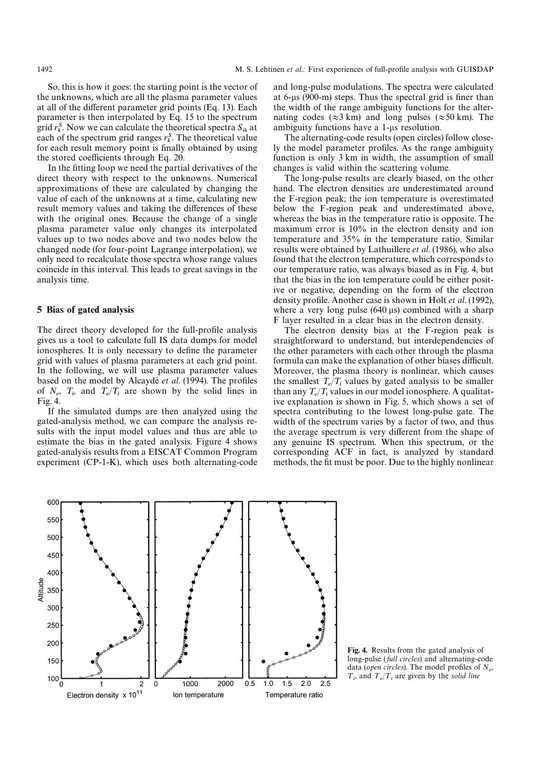So, this is how it goes: the starting point is the vector of the unknowns, which are all the plasma parameter values at all of the different parameter grid points (Eq. 13). Each parameter is then interpolated by Eq. 15 to the spectrum parameter is then interpolated by Eq. 15 to the spectrum<br>grid  $r_k^S$ . Now we can calculate the theoretical spectra  $S_{ik}$  at grid  $r_{\bar{k}}$ . Now we can calculate the theoretical spectra  $s_{ik}$  at each of the spectrum grid ranges  $r_k^S$ . The theoretical value for each result memory point is finally obtained by using the stored coefficients through Eq. 20.

In the fitting loop we need the partial derivatives of the direct theory with respect to the unknowns. Numerical approximations of these are calculated by changing the value of each of the unknowns at a time, calculating new result memory values and taking the differences of these with the original ones. Because the change of a single plasma parameter value only changes its interpolated values up to two nodes above and two nodes below the changed node (for four-point Lagrange interpolation), we only need to recalculate those spectra whose range values coincide in this interval. This leads to great savings in the analysis time.

#### 5 Bias of gated analysis

The direct theory developed for the full-profile analysis gives us a tool to calculate full IS data dumps for model ionospheres. It is only necessary to define the parameter grid with values of plasma parameters at each grid point. In the following, we will use plasma parameter values based on the model by Alcaydé *et al.* (1994). The profiles of  $N_e$ ,  $T_i$ , and  $T_e/T_i$  are shown by the solid lines in Fig. 4.

If the simulated dumps are then analyzed using the gated-analysis method, we can compare the analysis results with the input model values and thus are able to estimate the bias in the gated analysis. Figure 4 shows gated-analysis results from a EISCAT Common Program experiment (CP-1-K), which uses both alternating-code

and long-pulse modulations. The spectra were calculated at 6-us (900-m) steps. Thus the spectral grid is finer than the width of the range ambiguity functions for the alternating codes ( $\approx$ 3 km) and long pulses ( $\approx$ 50 km). The ambiguity functions have a 1-us resolution.

The alternating-code results (open circles) follow closely the model parameter profiles. As the range ambiguity function is only 3 km in width, the assumption of small changes is valid within the scattering volume.

The long-pulse results are clearly biased, on the other hand. The electron densities are underestimated around the F-region peak; the ion temperature is overestimated below the F-region peak and underestimated above, whereas the bias in the temperature ratio is opposite. The maximum error is 10% in the electron density and ion temperature and 35% in the temperature ratio. Similar results were obtained by Lathuillere *et al*. (1986), who also found that the electron temperature, which corresponds to our temperature ratio, was always biased as in Fig. 4, but that the bias in the ion temperature could be either positive or negative, depending on the form of the electron density profile. Another case is shown in Holt *et al*. (1992), where a very long pulse  $(640 \,\mu s)$  combined with a sharp F layer resulted in a clear bias in the electron density.

The electron density bias at the F-region peak is straightforward to understand, but interdependencies of the other parameters with each other through the plasma formula can make the explanation of other biases difficult. Moreover, the plasma theory is nonlinear, which causes the smallest  $T_e/T_i$  values by gated analysis to be smaller than any  $T_e/T_i$  values in our model ionosphere. A qualitat- ive explanation is shown in Fig. 5, which shows a set of spectra contributing to the lowest long-pulse gate. The width of the spectrum varies by a factor of two, and thus the average spectrum is very different from the shape of any genuine IS spectrum. When this spectrum, or the corresponding ACF in fact, is analyzed by standard methods, the fit must be poor. Due to the highly nonlinear



Fig. 4. Results from the gated analysis of long-pulse ( *full circles*) and alternating-code data (*open circles*). The model profiles of *Ne*,  $T_i$ , and  $T_e/T_i$  are given by the *solid line*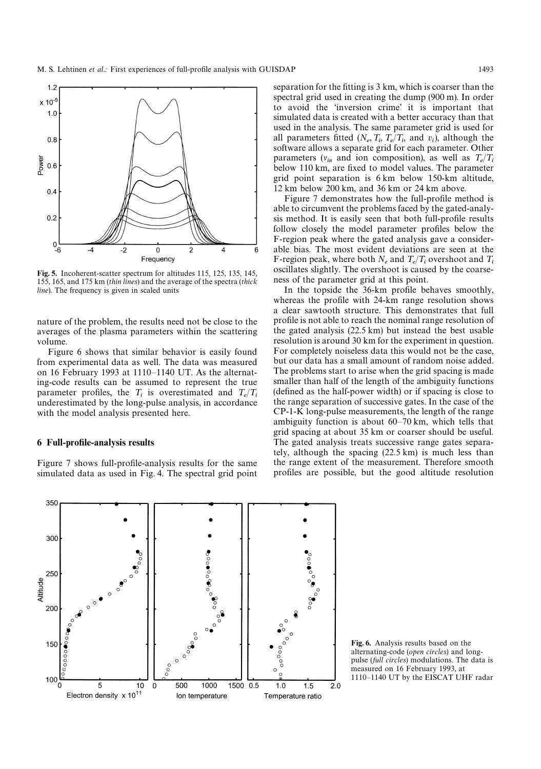

Fig. 5. Incoherent-scatter spectrum for altitudes 115, 125, 135, 145, 155, 165, and 175 km (*thin lines*) and the average of the spectra (*thick line*). The frequency is given in scaled units

nature of the problem, the results need not be close to the averages of the plasma parameters within the scattering volume.

Figure 6 shows that similar behavior is easily found from experimental data as well. The data was measured on 16 February 1993 at 1110*—*1140 UT. As the alternating-code results can be assumed to represent the true parameter profiles, the  $T_i$  is overestimated and  $T_e/T_i$  underestimated by the long-pulse analysis, in accordance with the model analysis presented here.

#### 6 Full-profile-analysis results

Figure 7 shows full-profile-analysis results for the same simulated data as used in Fig. 4. The spectral grid point separation for the fitting is 3 km, which is coarser than the spectral grid used in creating the dump (900 m). In order to avoid the 'inversion crime' it is important that simulated data is created with a better accuracy than that used in the analysis. The same parameter grid is used for all parameters fitted  $(N_e, T_i, T_e/T_i)$  and  $v_i$ ), although the software allows a separate grid for each parameter. Other parameters  $(v_{in}$  and ion composition), as well as  $T_e/T_i$  below 110 km, are fixed to model values. The parameter grid point separation is 6 km below 150-km altitude, 12 km below 200 km, and 36 km or 24 km above.

Figure 7 demonstrates how the full-profile method is able to circumvent the problems faced by the gated-analysis method. It is easily seen that both full-profile results follow closely the model parameter profiles below the F-region peak where the gated analysis gave a considerable bias. The most evident deviations are seen at the F-region peak, where both  $N_e$  and  $T_e/T_i$  overshoot and  $T_i$  oscillates slightly. The overshoot is caused by the coarseness of the parameter grid at this point.

In the topside the 36-km profile behaves smoothly, whereas the profile with 24-km range resolution shows a clear sawtooth structure. This demonstrates that full profile is not able to reach the nominal range resolution of the gated analysis (22.5 km) but instead the best usable resolution is around 30 km for the experiment in question. For completely noiseless data this would not be the case, but our data has a small amount of random noise added. The problems start to arise when the grid spacing is made smaller than half of the length of the ambiguity functions (defined as the half-power width) or if spacing is close to the range separation of successive gates. In the case of the CP-1-K long-pulse measurements, the length of the range ambiguity function is about 60*—*70 km, which tells that grid spacing at about 35 km or coarser should be useful. The gated analysis treats successive range gates separately, although the spacing (22.5 km) is much less than the range extent of the measurement. Therefore smooth profiles are possible, but the good altitude resolution



Fig. 6. Analysis results based on the alternating-code (*open circles*) and longpulse (*full circles*) modulations. The data is measured on 16 February 1993, at 1110*—*1140 UT by the EISCAT UHF radar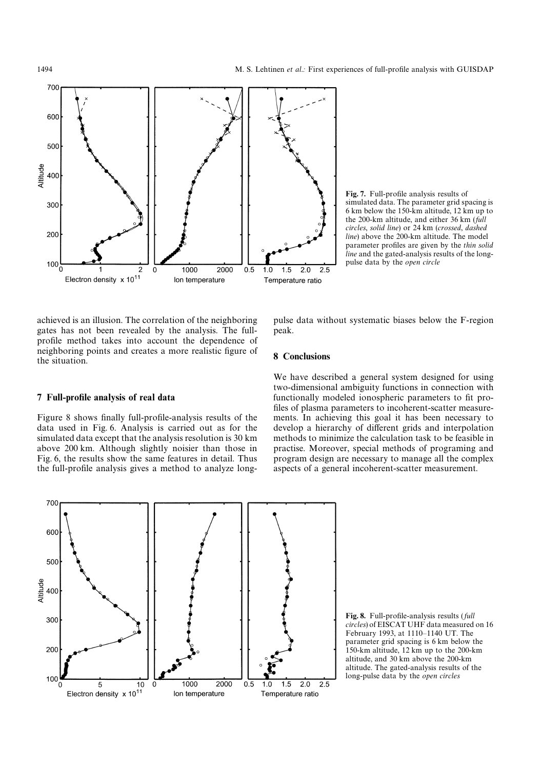

Fig. 7. Full-profile analysis results of simulated data. The parameter grid spacing is 6 km below the 150-km altitude, 12 km up to the 200-km altitude, and either 36 km (*full circles*, *solid line*) or 24 km (*crossed*, *dashed line*) above the 200-km altitude. The model parameter profiles are given by the *thin solid line* and the gated-analysis results of the longpulse data by the *open circle*

achieved is an illusion. The correlation of the neighboring gates has not been revealed by the analysis. The fullprofile method takes into account the dependence of neighboring points and creates a more realistic figure of the situation.

pulse data without systematic biases below the F-region peak.

## 8 Conclusions

# 7 Full-profile analysis of real data

Figure 8 shows finally full-profile-analysis results of the data used in Fig. 6. Analysis is carried out as for the simulated data except that the analysis resolution is 30 km above 200 km. Although slightly noisier than those in Fig. 6, the results show the same features in detail. Thus the full-profile analysis gives a method to analyze long-

We have described a general system designed for using two-dimensional ambiguity functions in connection with functionally modeled ionospheric parameters to fit profiles of plasma parameters to incoherent-scatter measurements. In achieving this goal it has been necessary to develop a hierarchy of different grids and interpolation methods to minimize the calculation task to be feasible in practise. Moreover, special methods of programing and program design are necessary to manage all the complex aspects of a general incoherent-scatter measurement.



Fig. 8. Full-profile-analysis results ( *full circles*) of EISCAT UHF data measured on 16 February 1993, at 1110*—*1140 UT. The parameter grid spacing is 6 km below the 150-km altitude, 12 km up to the 200-km altitude, and 30 km above the 200-km altitude. The gated-analysis results of the long-pulse data by the *open circles*